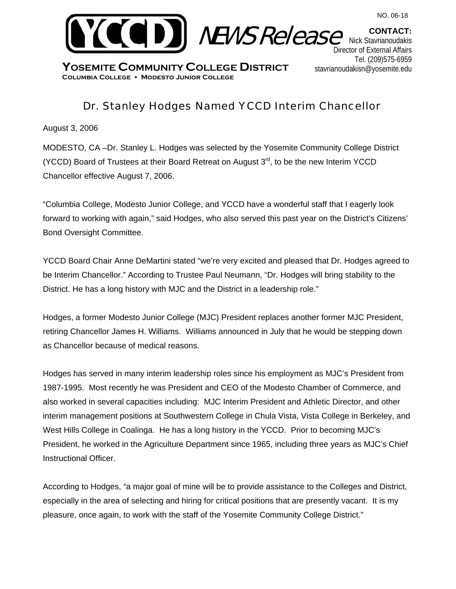

**YOSEMITE COMMUNITY COLLEGE DISTRICT Columbia College Modesto Junior College** 

## Dr. Stanley Hodges Named YCCD Interim Chancellor

August 3, 2006

MODESTO, CA –Dr. Stanley L. Hodges was selected by the Yosemite Community College District (YCCD) Board of Trustees at their Board Retreat on August  $3<sup>rd</sup>$ , to be the new Interim YCCD Chancellor effective August 7, 2006.

"Columbia College, Modesto Junior College, and YCCD have a wonderful staff that I eagerly look forward to working with again," said Hodges, who also served this past year on the District's Citizens' Bond Oversight Committee.

YCCD Board Chair Anne DeMartini stated "we're very excited and pleased that Dr. Hodges agreed to be Interim Chancellor." According to Trustee Paul Neumann, "Dr. Hodges will bring stability to the District. He has a long history with MJC and the District in a leadership role."

Hodges, a former Modesto Junior College (MJC) President replaces another former MJC President, retiring Chancellor James H. Williams. Williams announced in July that he would be stepping down as Chancellor because of medical reasons.

Hodges has served in many interim leadership roles since his employment as MJC's President from 1987-1995. Most recently he was President and CEO of the Modesto Chamber of Commerce, and also worked in several capacities including: MJC Interim President and Athletic Director, and other interim management positions at Southwestern College in Chula Vista, Vista College in Berkeley, and West Hills College in Coalinga. He has a long history in the YCCD. Prior to becoming MJC's President, he worked in the Agriculture Department since 1965, including three years as MJC's Chief Instructional Officer.

According to Hodges, "a major goal of mine will be to provide assistance to the Colleges and District, especially in the area of selecting and hiring for critical positions that are presently vacant. It is my pleasure, once again, to work with the staff of the Yosemite Community College District."